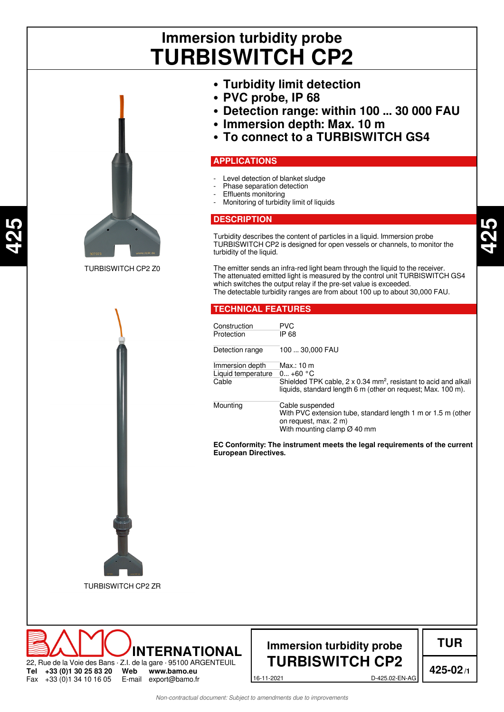# **TURBISWITCH CP2 Immersion turbidity probe**



TURBISWITCH CP2 Z0

- **• Turbidity limit detection**
- **• PVC probe, IP 68**
- **• Detection range: within 100 ... 30 000 FAU**
- **• Immersion depth: Max. 10 m**
- **• To connect to a TURBISWITCH GS4**

#### **APPLICATIONS**

- Level detection of blanket sludge
- Phase separation detection
- Effluents monitoring
- Monitoring of turbidity limit of liquids

#### **DESCRIPTION**

Turbidity describes the content of particles in a liquid. Immersion probe TURBISWITCH CP2 is designed for open vessels or channels, to monitor the turbidity of the liquid.

The emitter sends an infra-red light beam through the liquid to the receiver. The attenuated emitted light is measured by the control unit TURBISWITCH GS4 which switches the output relay if the pre-set value is exceeded. The detectable turbidity ranges are from about 100 up to about 30,000 FAU.

## **TECHNICAL FEATURES**

| Construction<br>Protection                     | PVC<br>IP 68                                                                                                                                                         |
|------------------------------------------------|----------------------------------------------------------------------------------------------------------------------------------------------------------------------|
| Detection range                                | 100  30,000 FAU                                                                                                                                                      |
| Immersion depth<br>Liquid temperature<br>Cable | Max:10 m<br>$0+60 °C$<br>Shielded TPK cable, 2 x 0.34 mm <sup>2</sup> , resistant to acid and alkali<br>liquids, standard length 6 m (other on request; Max. 100 m). |
| Mounting                                       | Cable suspended<br>With PVC extension tube, standard length 1 m or 1.5 m (other<br>on request, max. 2 m)<br>With mounting clamp $\varnothing$ 40 mm                  |

**EC Conformity: The instrument meets the legal requirements of the current European Directives.**



TURBISWITCH CP2 ZR

22, Rue de la Voie des Bans · Z.I. de la gare · 95100 ARGENTEUIL **Tel +33 (0)1 30 25 83 20 Web** +33 (0)1 34 10 16 05 E-mail export@bamo.fr **www.bamo.eu INTERNATIONAL**

# **Immersion turbidity probe TURBISWITCH CP2**

**TUR**

**425**

**425-02/1**

16-11-2021 D-425.02-EN-AG

**425**

Fax